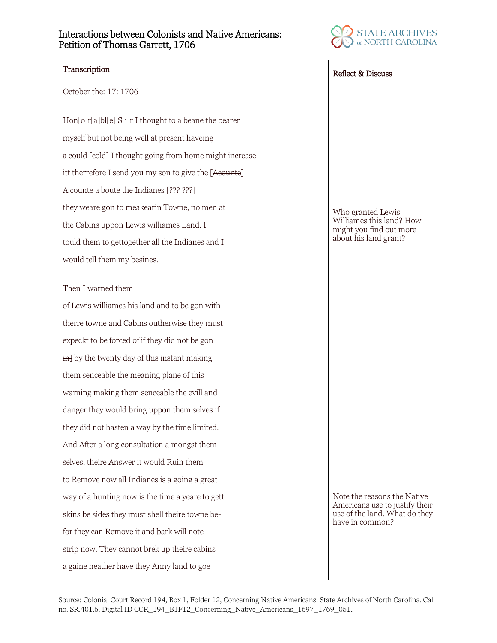## Interactions between Colonists and Native Americans: Petition of Thomas Garrett, 1706

October the: 17: 1706

Hon[o]r[a]bl[e] S[i]r I thought to a beane the bearer myself but not being well at present haveing a could [cold] I thought going from home might increase itt therrefore I send you my son to give the [Acounte] A counte a boute the Indianes [??? ???] they weare gon to meakearin Towne, no men at the Cabins uppon Lewis williames Land. I tould them to gettogether all the Indianes and I would tell them my besines.

### Then I warned them

of Lewis williames his land and to be gon with therre towne and Cabins outherwise they must expeckt to be forced of if they did not be gon  $\frac{1}{2}$  by the twenty day of this instant making them senceable the meaning plane of this warning making them senceable the evill and danger they would bring uppon them selves if they did not hasten a way by the time limited. And After a long consultation a mongst themselves, theire Answer it would Ruin them to Remove now all Indianes is a going a great way of a hunting now is the time a yeare to gett skins be sides they must shell theire towne befor they can Remove it and bark will note strip now. They cannot brek up theire cabins a gaine neather have they Anny land to goe



# Transcription Reflect & Discuss

Who granted Lewis Williames this land? How might you find out more about his land grant?

Note the reasons the Native Americans use to justify their use of the land. What do they have in common?